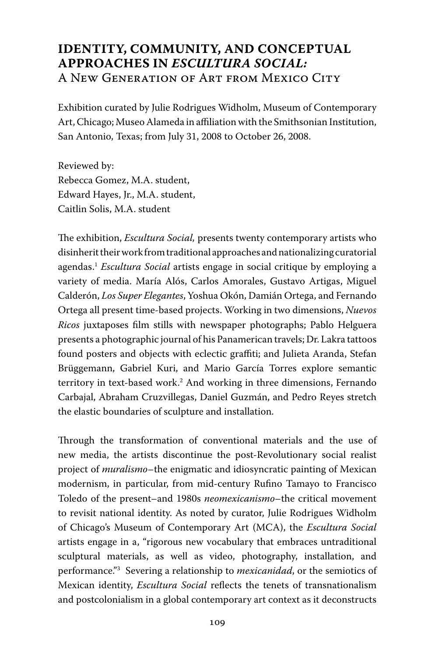# **IDENTITY, COMMUNITY, AND CONCEPTUAL APPROACHES IN** *ESCULTURA SOCIAL:* A NEW GENERATION OF ART FROM MEXICO CITY

Exhibition curated by Julie Rodrigues Widholm, Museum of Contemporary Art, Chicago; Museo Alameda in affiliation with the Smithsonian Institution, San Antonio, Texas; from July 31, 2008 to October 26, 2008.

Reviewed by: Rebecca Gomez, M.A. student, Edward Hayes, Jr., M.A. student, Caitlin Solis, M.A. student

The exhibition, *Escultura Social,* presents twenty contemporary artists who disinherit their work from traditional approaches and nationalizing curatorial agendas.1 *Escultura Social* artists engage in social critique by employing a variety of media. María Alós, Carlos Amorales, Gustavo Artigas, Miguel Calderón, *Los Super Elegantes*, Yoshua Okón, Damián Ortega, and Fernando Ortega all present time-based projects. Working in two dimensions, *Nuevos Ricos* juxtaposes film stills with newspaper photographs; Pablo Helguera presents a photographic journal of his Panamerican travels; Dr. Lakra tattoos found posters and objects with eclectic graffiti; and Julieta Aranda, Stefan Brüggemann, Gabriel Kuri, and Mario García Torres explore semantic territory in text-based work.2 And working in three dimensions, Fernando Carbajal, Abraham Cruzvillegas, Daniel Guzmán, and Pedro Reyes stretch the elastic boundaries of sculpture and installation.

Through the transformation of conventional materials and the use of new media, the artists discontinue the post-Revolutionary social realist project of *muralismo*–the enigmatic and idiosyncratic painting of Mexican modernism, in particular, from mid-century Rufino Tamayo to Francisco Toledo of the present–and 1980s *neomexicanismo*–the critical movement to revisit national identity. As noted by curator, Julie Rodrigues Widholm of Chicago's Museum of Contemporary Art (MCA), the *Escultura Social* artists engage in a, "rigorous new vocabulary that embraces untraditional sculptural materials, as well as video, photography, installation, and performance."3 Severing a relationship to *mexicanidad*, or the semiotics of Mexican identity, *Escultura Social* reflects the tenets of transnationalism and postcolonialism in a global contemporary art context as it deconstructs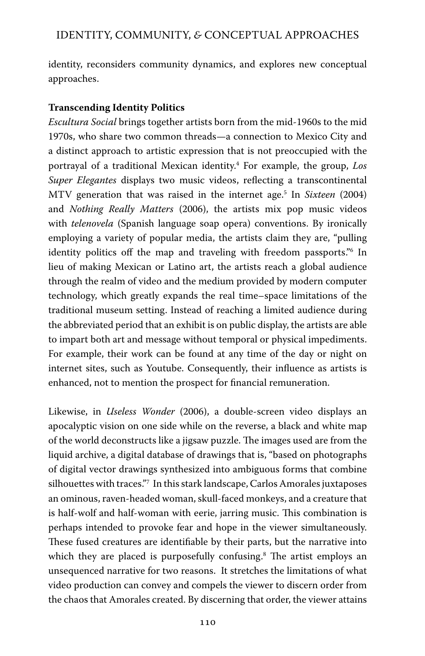identity, reconsiders community dynamics, and explores new conceptual approaches.

### **Transcending Identity Politics**

*Escultura Social* brings together artists born from the mid-1960s to the mid 1970s, who share two common threads—a connection to Mexico City and a distinct approach to artistic expression that is not preoccupied with the portrayal of a traditional Mexican identity.4 For example, the group, *Los Super Elegantes* displays two music videos, reflecting a transcontinental MTV generation that was raised in the internet age.5 In *Sixteen* (2004) and *Nothing Really Matters* (2006), the artists mix pop music videos with *telenovela* (Spanish language soap opera) conventions. By ironically employing a variety of popular media, the artists claim they are, "pulling identity politics off the map and traveling with freedom passports."6 In lieu of making Mexican or Latino art, the artists reach a global audience through the realm of video and the medium provided by modern computer technology, which greatly expands the real time–space limitations of the traditional museum setting. Instead of reaching a limited audience during the abbreviated period that an exhibit is on public display, the artists are able to impart both art and message without temporal or physical impediments. For example, their work can be found at any time of the day or night on internet sites, such as Youtube. Consequently, their influence as artists is enhanced, not to mention the prospect for financial remuneration.

Likewise, in *Useless Wonder* (2006), a double-screen video displays an apocalyptic vision on one side while on the reverse, a black and white map of the world deconstructs like a jigsaw puzzle. The images used are from the liquid archive, a digital database of drawings that is, "based on photographs of digital vector drawings synthesized into ambiguous forms that combine silhouettes with traces."7 In this stark landscape, Carlos Amorales juxtaposes an ominous, raven-headed woman, skull-faced monkeys, and a creature that is half-wolf and half-woman with eerie, jarring music. This combination is perhaps intended to provoke fear and hope in the viewer simultaneously. These fused creatures are identifiable by their parts, but the narrative into which they are placed is purposefully confusing.<sup>8</sup> The artist employs an unsequenced narrative for two reasons. It stretches the limitations of what video production can convey and compels the viewer to discern order from the chaos that Amorales created. By discerning that order, the viewer attains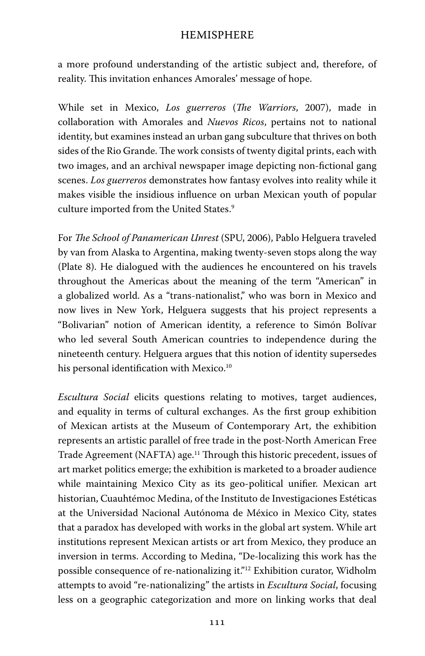a more profound understanding of the artistic subject and, therefore, of reality. This invitation enhances Amorales' message of hope.

While set in Mexico, *Los guerreros* (*The Warriors*, 2007), made in collaboration with Amorales and *Nuevos Ricos*, pertains not to national identity, but examines instead an urban gang subculture that thrives on both sides of the Rio Grande. The work consists of twenty digital prints, each with two images, and an archival newspaper image depicting non-fictional gang scenes. *Los guerreros* demonstrates how fantasy evolves into reality while it makes visible the insidious influence on urban Mexican youth of popular culture imported from the United States.<sup>9</sup>

For *The School of Panamerican Unrest* (SPU, 2006), Pablo Helguera traveled by van from Alaska to Argentina, making twenty-seven stops along the way (Plate 8). He dialogued with the audiences he encountered on his travels throughout the Americas about the meaning of the term "American" in a globalized world. As a "trans-nationalist," who was born in Mexico and now lives in New York, Helguera suggests that his project represents a "Bolivarian" notion of American identity, a reference to Simón Bolívar who led several South American countries to independence during the nineteenth century. Helguera argues that this notion of identity supersedes his personal identification with Mexico.<sup>10</sup>

*Escultura Social* elicits questions relating to motives, target audiences, and equality in terms of cultural exchanges. As the first group exhibition of Mexican artists at the Museum of Contemporary Art, the exhibition represents an artistic parallel of free trade in the post-North American Free Trade Agreement (NAFTA) age.11 Through this historic precedent, issues of art market politics emerge; the exhibition is marketed to a broader audience while maintaining Mexico City as its geo-political unifier. Mexican art historian, Cuauhtémoc Medina, of the Instituto de Investigaciones Estéticas at the Universidad Nacional Autónoma de México in Mexico City, states that a paradox has developed with works in the global art system. While art institutions represent Mexican artists or art from Mexico, they produce an inversion in terms. According to Medina, "De-localizing this work has the possible consequence of re-nationalizing it."12 Exhibition curator, Widholm attempts to avoid "re-nationalizing" the artists in *Escultura Social*, focusing less on a geographic categorization and more on linking works that deal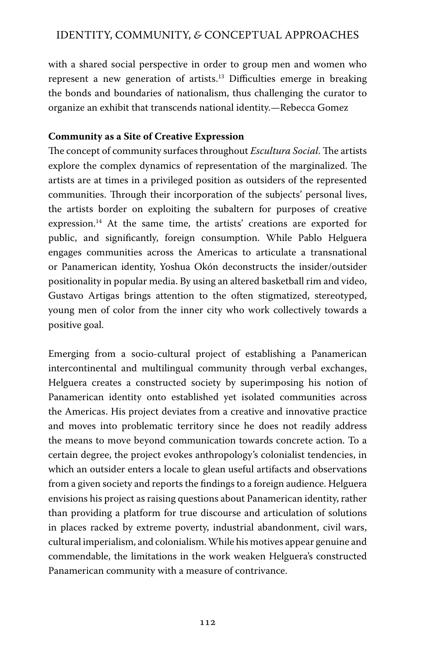with a shared social perspective in order to group men and women who represent a new generation of artists.13 Difficulties emerge in breaking the bonds and boundaries of nationalism, thus challenging the curator to organize an exhibit that transcends national identity.—Rebecca Gomez

#### **Community as a Site of Creative Expression**

The concept of community surfaces throughout *Escultura Social*. The artists explore the complex dynamics of representation of the marginalized. The artists are at times in a privileged position as outsiders of the represented communities. Through their incorporation of the subjects' personal lives, the artists border on exploiting the subaltern for purposes of creative expression.14 At the same time, the artists' creations are exported for public, and significantly, foreign consumption. While Pablo Helguera engages communities across the Americas to articulate a transnational or Panamerican identity, Yoshua Okón deconstructs the insider/outsider positionality in popular media. By using an altered basketball rim and video, Gustavo Artigas brings attention to the often stigmatized, stereotyped, young men of color from the inner city who work collectively towards a positive goal.

Emerging from a socio-cultural project of establishing a Panamerican intercontinental and multilingual community through verbal exchanges, Helguera creates a constructed society by superimposing his notion of Panamerican identity onto established yet isolated communities across the Americas. His project deviates from a creative and innovative practice and moves into problematic territory since he does not readily address the means to move beyond communication towards concrete action. To a certain degree, the project evokes anthropology's colonialist tendencies, in which an outsider enters a locale to glean useful artifacts and observations from a given society and reports the findings to a foreign audience. Helguera envisions his project as raising questions about Panamerican identity, rather than providing a platform for true discourse and articulation of solutions in places racked by extreme poverty, industrial abandonment, civil wars, cultural imperialism, and colonialism. While his motives appear genuine and commendable, the limitations in the work weaken Helguera's constructed Panamerican community with a measure of contrivance.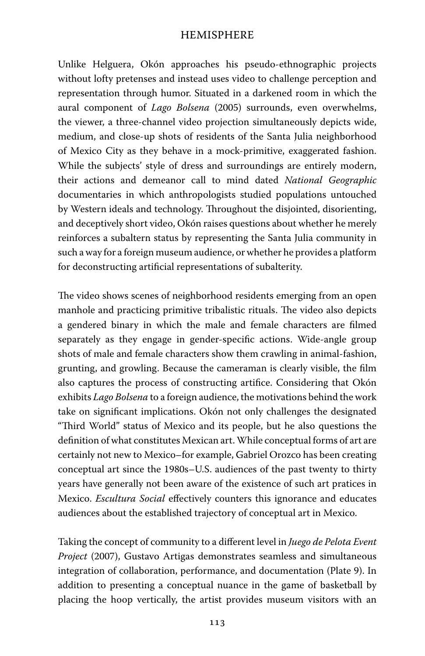Unlike Helguera, Okón approaches his pseudo-ethnographic projects without lofty pretenses and instead uses video to challenge perception and representation through humor. Situated in a darkened room in which the aural component of *Lago Bolsena* (2005) surrounds, even overwhelms, the viewer, a three-channel video projection simultaneously depicts wide, medium, and close-up shots of residents of the Santa Julia neighborhood of Mexico City as they behave in a mock-primitive, exaggerated fashion. While the subjects' style of dress and surroundings are entirely modern, their actions and demeanor call to mind dated *National Geographic*  documentaries in which anthropologists studied populations untouched by Western ideals and technology. Throughout the disjointed, disorienting, and deceptively short video, Okón raises questions about whether he merely reinforces a subaltern status by representing the Santa Julia community in such a way for a foreign museum audience, or whether he provides a platform for deconstructing artificial representations of subalterity.

The video shows scenes of neighborhood residents emerging from an open manhole and practicing primitive tribalistic rituals. The video also depicts a gendered binary in which the male and female characters are filmed separately as they engage in gender-specific actions. Wide-angle group shots of male and female characters show them crawling in animal-fashion, grunting, and growling. Because the cameraman is clearly visible, the film also captures the process of constructing artifice. Considering that Okón exhibits *Lago Bolsena* to a foreign audience, the motivations behind the work take on significant implications. Okón not only challenges the designated "Third World" status of Mexico and its people, but he also questions the definition of what constitutes Mexican art. While conceptual forms of art are certainly not new to Mexico–for example, Gabriel Orozco has been creating conceptual art since the 1980s–U.S. audiences of the past twenty to thirty years have generally not been aware of the existence of such art pratices in Mexico. *Escultura Social* effectively counters this ignorance and educates audiences about the established trajectory of conceptual art in Mexico.

Taking the concept of community to a different level in *Juego de Pelota Event Project* (2007), Gustavo Artigas demonstrates seamless and simultaneous integration of collaboration, performance, and documentation (Plate 9). In addition to presenting a conceptual nuance in the game of basketball by placing the hoop vertically, the artist provides museum visitors with an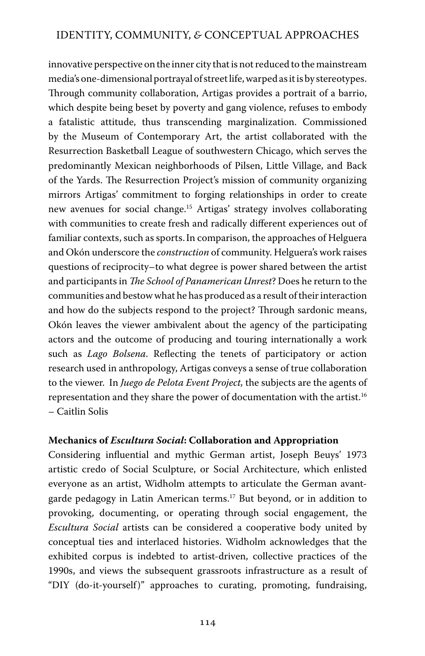innovative perspective on the inner city that is not reduced to the mainstream media's one-dimensional portrayal of street life, warped as it is by stereotypes. Through community collaboration, Artigas provides a portrait of a barrio, which despite being beset by poverty and gang violence, refuses to embody a fatalistic attitude, thus transcending marginalization. Commissioned by the Museum of Contemporary Art, the artist collaborated with the Resurrection Basketball League of southwestern Chicago, which serves the predominantly Mexican neighborhoods of Pilsen, Little Village, and Back of the Yards. The Resurrection Project's mission of community organizing mirrors Artigas' commitment to forging relationships in order to create new avenues for social change.15 Artigas' strategy involves collaborating with communities to create fresh and radically different experiences out of familiar contexts, such as sports.In comparison, the approaches of Helguera and Okón underscore the *construction* of community. Helguera's work raises questions of reciprocity–to what degree is power shared between the artist and participants in *The School of Panamerican Unrest*? Does he return to the communities and bestow what he has produced as a result of their interaction and how do the subjects respond to the project? Through sardonic means, Okón leaves the viewer ambivalent about the agency of the participating actors and the outcome of producing and touring internationally a work such as *Lago Bolsena*. Reflecting the tenets of participatory or action research used in anthropology, Artigas conveys a sense of true collaboration to the viewer. In *Juego de Pelota Event Project,* the subjects are the agents of representation and they share the power of documentation with the artist.16 – Caitlin Solis

#### **Mechanics of** *Escultura Social***: Collaboration and Appropriation**

Considering influential and mythic German artist, Joseph Beuys' 1973 artistic credo of Social Sculpture, or Social Architecture, which enlisted everyone as an artist, Widholm attempts to articulate the German avantgarde pedagogy in Latin American terms.17 But beyond, or in addition to provoking, documenting, or operating through social engagement, the *Escultura Social* artists can be considered a cooperative body united by conceptual ties and interlaced histories. Widholm acknowledges that the exhibited corpus is indebted to artist-driven, collective practices of the 1990s, and views the subsequent grassroots infrastructure as a result of "DIY (do-it-yourself)" approaches to curating, promoting, fundraising,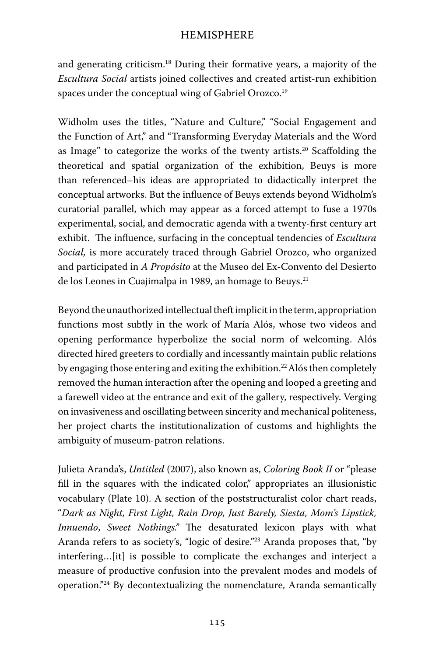and generating criticism.18 During their formative years, a majority of the *Escultura Social* artists joined collectives and created artist-run exhibition spaces under the conceptual wing of Gabriel Orozco.<sup>19</sup>

Widholm uses the titles, "Nature and Culture," "Social Engagement and the Function of Art," and "Transforming Everyday Materials and the Word as Image" to categorize the works of the twenty artists.<sup>20</sup> Scaffolding the theoretical and spatial organization of the exhibition, Beuys is more than referenced–his ideas are appropriated to didactically interpret the conceptual artworks. But the influence of Beuys extends beyond Widholm's curatorial parallel, which may appear as a forced attempt to fuse a 1970s experimental, social, and democratic agenda with a twenty-first century art exhibit. The influence, surfacing in the conceptual tendencies of *Escultura Social,* is more accurately traced through Gabriel Orozco, who organized and participated in *A Propósito* at the Museo del Ex-Convento del Desierto de los Leones in Cuajimalpa in 1989, an homage to Beuys.<sup>21</sup>

Beyond the unauthorized intellectual theft implicit in the term, appropriation functions most subtly in the work of María Alós, whose two videos and opening performance hyperbolize the social norm of welcoming. Alós directed hired greeters to cordially and incessantly maintain public relations by engaging those entering and exiting the exhibition.<sup>22</sup> Alós then completely removed the human interaction after the opening and looped a greeting and a farewell video at the entrance and exit of the gallery, respectively. Verging on invasiveness and oscillating between sincerity and mechanical politeness, her project charts the institutionalization of customs and highlights the ambiguity of museum-patron relations.

Julieta Aranda's, *Untitled* (2007), also known as, *Coloring Book II* or "please fill in the squares with the indicated color," appropriates an illusionistic vocabulary (Plate 10). A section of the poststructuralist color chart reads, "*Dark as Night, First Light, Rain Drop, Just Barely, Siesta, Mom's Lipstick, Innuendo*, *Sweet Nothings."* The desaturated lexicon plays with what Aranda refers to as society's, "logic of desire."23 Aranda proposes that, "by interfering…[it] is possible to complicate the exchanges and interject a measure of productive confusion into the prevalent modes and models of operation."24 By decontextualizing the nomenclature, Aranda semantically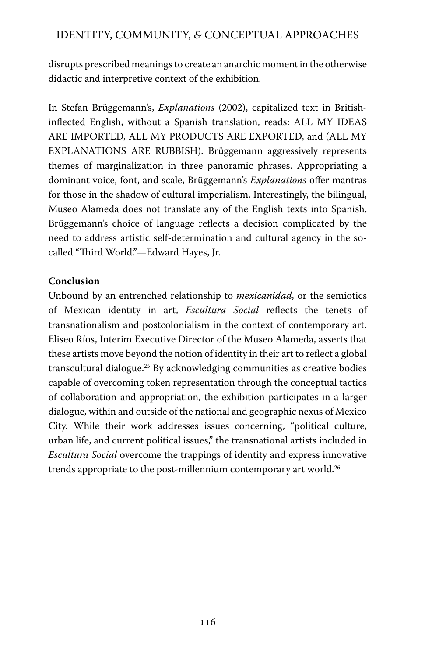disrupts prescribed meanings to create an anarchic moment in the otherwise didactic and interpretive context of the exhibition.

In Stefan Brüggemann's, *Explanations* (2002), capitalized text in Britishinflected English, without a Spanish translation, reads: ALL MY IDEAS ARE IMPORTED, ALL MY PRODUCTS ARE EXPORTED, and (ALL MY EXPLANATIONS ARE RUBBISH). Brüggemann aggressively represents themes of marginalization in three panoramic phrases. Appropriating a dominant voice, font, and scale, Brüggemann's *Explanations* offer mantras for those in the shadow of cultural imperialism. Interestingly, the bilingual, Museo Alameda does not translate any of the English texts into Spanish. Brüggemann's choice of language reflects a decision complicated by the need to address artistic self-determination and cultural agency in the socalled "Third World."—Edward Hayes, Jr.

#### **Conclusion**

Unbound by an entrenched relationship to *mexicanidad*, or the semiotics of Mexican identity in art, *Escultura Social* reflects the tenets of transnationalism and postcolonialism in the context of contemporary art. Eliseo Ríos, Interim Executive Director of the Museo Alameda, asserts that these artists move beyond the notion of identity in their art to reflect a global transcultural dialogue.25 By acknowledging communities as creative bodies capable of overcoming token representation through the conceptual tactics of collaboration and appropriation, the exhibition participates in a larger dialogue, within and outside of the national and geographic nexus of Mexico City. While their work addresses issues concerning, "political culture, urban life, and current political issues," the transnational artists included in *Escultura Social* overcome the trappings of identity and express innovative trends appropriate to the post-millennium contemporary art world.<sup>26</sup>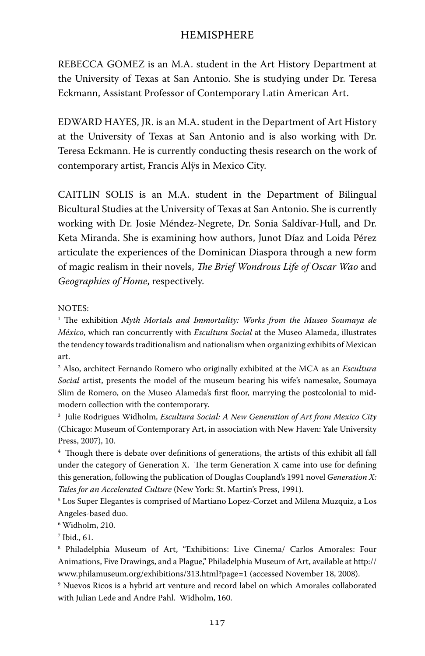REBECCA GOMEZ is an M.A. student in the Art History Department at the University of Texas at San Antonio. She is studying under Dr. Teresa Eckmann, Assistant Professor of Contemporary Latin American Art.

EDWARD HAYES, JR. is an M.A. student in the Department of Art History at the University of Texas at San Antonio and is also working with Dr. Teresa Eckmann. He is currently conducting thesis research on the work of contemporary artist, Francis Alÿs in Mexico City.

CAITLIN SOLIS is an M.A. student in the Department of Bilingual Bicultural Studies at the University of Texas at San Antonio. She is currently working with Dr. Josie Méndez-Negrete, Dr. Sonia Saldívar-Hull, and Dr. Keta Miranda. She is examining how authors, Junot Díaz and Loida Pérez articulate the experiences of the Dominican Diaspora through a new form of magic realism in their novels, *The Brief Wondrous Life of Oscar Wao* and *Geographies of Home*, respectively.

NOTES:

<sup>1</sup> The exhibition *Myth Mortals and Immortality: Works from the Museo Soumaya de México*, which ran concurrently with *Escultura Social* at the Museo Alameda, illustrates the tendency towards traditionalism and nationalism when organizing exhibits of Mexican art.

2 Also, architect Fernando Romero who originally exhibited at the MCA as an *Escultura Social* artist, presents the model of the museum bearing his wife's namesake, Soumaya Slim de Romero, on the Museo Alameda's first floor, marrying the postcolonial to midmodern collection with the contemporary.

3 Julie Rodrigues Widholm, *Escultura Social: A New Generation of Art from Mexico City* (Chicago: Museum of Contemporary Art, in association with New Haven: Yale University Press, 2007), 10.

4 Though there is debate over definitions of generations, the artists of this exhibit all fall under the category of Generation X. The term Generation X came into use for defining this generation, following the publication of Douglas Coupland's 1991 novel *Generation X: Tales for an Accelerated Culture* (New York: St. Martin's Press, 1991).

5 Los Super Elegantes is comprised of Martiano Lopez-Corzet and Milena Muzquiz, a Los Angeles-based duo.

6 Widholm, *2*10.

 $\frac{7}{1}$  Ibid., 61.

8 Philadelphia Museum of Art, "Exhibitions: Live Cinema/ Carlos Amorales: Four Animations, Five Drawings, and a Plague," Philadelphia Museum of Art, available at http:// www.philamuseum.org/exhibitions/313.html?page=1 (accessed November 18, 2008).

9 Nuevos Ricos is a hybrid art venture and record label on which Amorales collaborated with Julian Lede and Andre Pahl. Widholm, 160.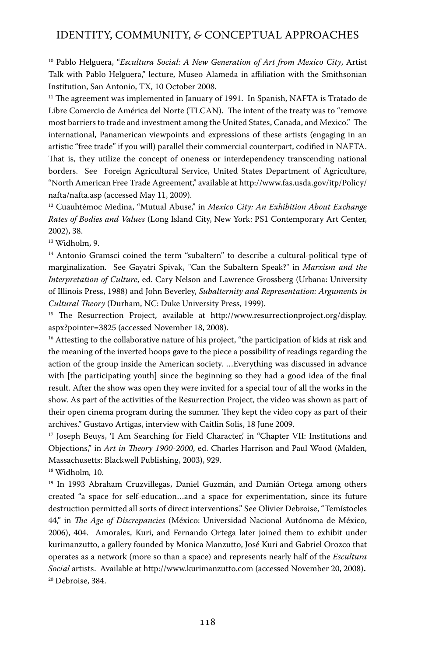10 Pablo Helguera, "*Escultura Social: A New Generation of Art from Mexico City*, Artist Talk with Pablo Helguera," lecture, Museo Alameda in affiliation with the Smithsonian Institution, San Antonio, TX, 10 October 2008.

 $11$  The agreement was implemented in January of 1991. In Spanish, NAFTA is Tratado de Libre Comercio de América del Norte (TLCAN). The intent of the treaty was to "remove most barriers to trade and investment among the United States, Canada, and Mexico." The international, Panamerican viewpoints and expressions of these artists (engaging in an artistic "free trade" if you will) parallel their commercial counterpart, codified in NAFTA. That is, they utilize the concept of oneness or interdependency transcending national borders. See Foreign Agricultural Service, United States Department of Agriculture, "North American Free Trade Agreement," available at http://www.fas.usda.gov/itp/Policy/ nafta/nafta.asp (accessed May 11, 2009).

12 Cuauhtémoc Medina, "Mutual Abuse," in *Mexico City: An Exhibition About Exchange Rates of Bodies and Values* (Long Island City, New York: PS1 Contemporary Art Center, 2002), 38.

13 Widholm, 9.

<sup>14</sup> Antonio Gramsci coined the term "subaltern" to describe a cultural-political type of marginalization. See Gayatri Spivak, "Can the Subaltern Speak?" in *Marxism and the Interpretation of Culture*, ed. Cary Nelson and Lawrence Grossberg (Urbana: University of Illinois Press, 1988) and John Beverley, *Subalternity and Representation: Arguments in Cultural Theory* (Durham, NC: Duke University Press, 1999).

<sup>15</sup> The Resurrection Project, available at http://www.resurrectionproject.org/display. aspx?pointer=3825 (accessed November 18, 2008).

<sup>16</sup> Attesting to the collaborative nature of his project, "the participation of kids at risk and the meaning of the inverted hoops gave to the piece a possibility of readings regarding the action of the group inside the American society. …Everything was discussed in advance with [the participating youth] since the beginning so they had a good idea of the final result. After the show was open they were invited for a special tour of all the works in the show. As part of the activities of the Resurrection Project, the video was shown as part of their open cinema program during the summer. They kept the video copy as part of their archives." Gustavo Artigas, interview with Caitlin Solis, 18 June 2009.

<sup>17</sup> Joseph Beuys, 'I Am Searching for Field Character', in "Chapter VII: Institutions and Objections," in *Art in Theory 1900-2000*, ed. Charles Harrison and Paul Wood (Malden, Massachusetts: Blackwell Publishing, 2003), 929.

18 Widholm*,* 10.

<sup>19</sup> In 1993 Abraham Cruzvillegas, Daniel Guzmán, and Damián Ortega among others created "a space for self-education…and a space for experimentation, since its future destruction permitted all sorts of direct interventions." See Olivier Debroise, "Temístocles 44," in *The Age of Discrepancies* (México: Universidad Nacional Autónoma de México, 2006), 404. Amorales, Kuri, and Fernando Ortega later joined them to exhibit under kurimanzutto, a gallery founded by Monica Manzutto, José Kuri and Gabriel Orozco that operates as a network (more so than a space) and represents nearly half of the *Escultura Social* artists. Available at http://www.kurimanzutto.com (accessed November 20, 2008)**.** 20 Debroise, 384.